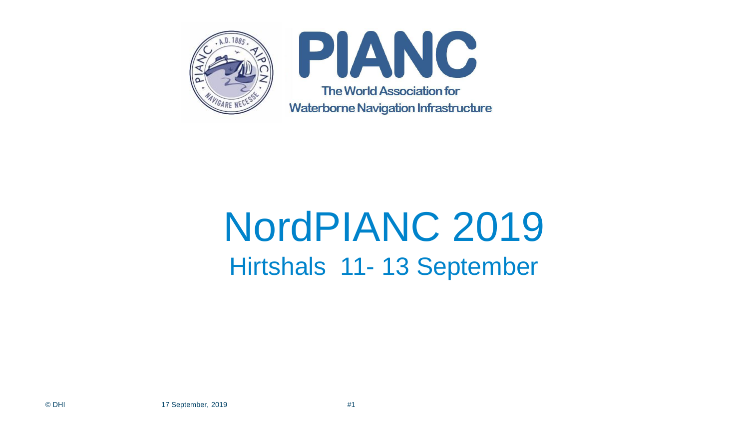



## NordPIANC 2019 Hirtshals 11- 13 September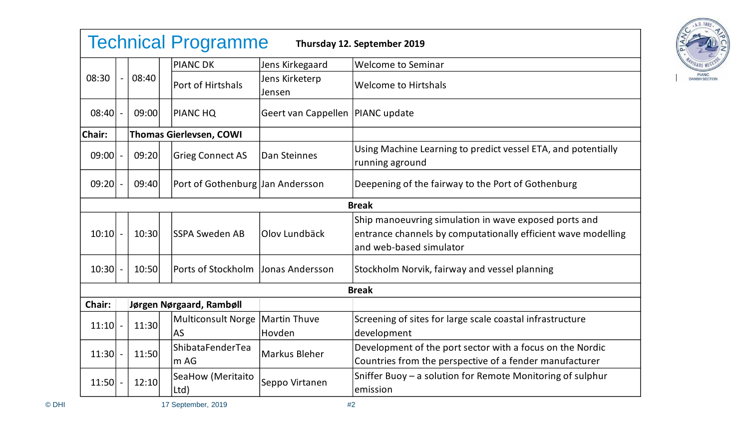|              |  |       | <b>PIANC DK</b>                  | Jens Kirkegaard                    | <b>Welcome to Seminar</b>                                                                                                                         |  |
|--------------|--|-------|----------------------------------|------------------------------------|---------------------------------------------------------------------------------------------------------------------------------------------------|--|
| 08:30        |  | 08:40 | Port of Hirtshals                | Jens Kirketerp<br>Jensen           | <b>Welcome to Hirtshals</b>                                                                                                                       |  |
| 08:40        |  | 09:00 | <b>PIANC HQ</b>                  | Geert van Cappellen   PIANC update |                                                                                                                                                   |  |
| Chair:       |  |       | Thomas Gierlevsen, COWI          |                                    |                                                                                                                                                   |  |
| 09:00        |  | 09:20 | <b>Grieg Connect AS</b>          | Dan Steinnes                       | Using Machine Learning to predict vessel ETA, and potentially<br>running aground                                                                  |  |
| 09:20        |  | 09:40 | Port of Gothenburg Jan Andersson |                                    | Deepening of the fairway to the Port of Gothenburg                                                                                                |  |
| <b>Break</b> |  |       |                                  |                                    |                                                                                                                                                   |  |
| 10:10        |  | 10:30 | lSSPA Sweden AB                  | lOlov Lundbäck                     | Ship manoeuvring simulation in wave exposed ports and<br>entrance channels by computationally efficient wave modelling<br>and web-based simulator |  |
| 10:30        |  | 10:50 | Ports of Stockholm               | Jonas Andersson                    | Stockholm Norvik, fairway and vessel planning                                                                                                     |  |
| <b>Break</b> |  |       |                                  |                                    |                                                                                                                                                   |  |
| Chair:       |  |       | Jørgen Nørgaard, Rambøll         |                                    |                                                                                                                                                   |  |
| 11:10        |  | 11:30 | <b>Multiconsult Norge</b><br>AS  | Martin Thuve<br>Hovden             | Screening of sites for large scale coastal infrastructure<br>development                                                                          |  |
| 11:30        |  | 11:50 | ShibataFenderTea<br>m AG         | Markus Bleher                      | Development of the port sector with a focus on the Nordic<br>Countries from the perspective of a fender manufacturer                              |  |
| 11:50        |  | 12:10 | SeaHow (Meritaito<br>Ltd)        | Seppo Virtanen                     | Sniffer Buoy - a solution for Remote Monitoring of sulphur<br>emission                                                                            |  |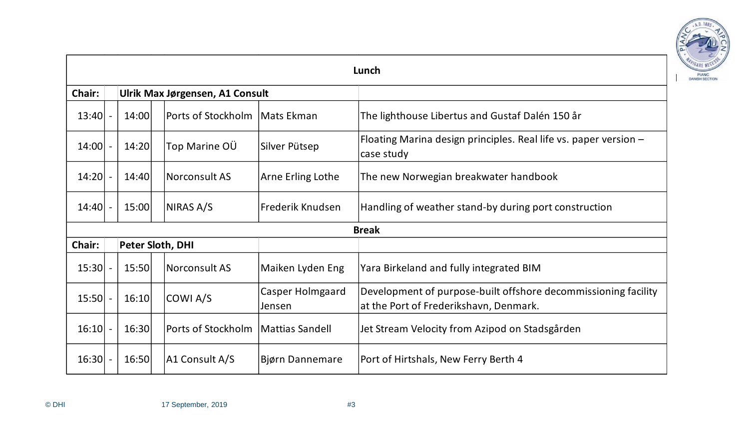| NC.<br>sec |
|------------|

| Lunch        |                  |       |                                 |                            |                                                                                                          |  |  |
|--------------|------------------|-------|---------------------------------|----------------------------|----------------------------------------------------------------------------------------------------------|--|--|
| Chair:       |                  |       | Ulrik Max Jørgensen, A1 Consult |                            |                                                                                                          |  |  |
| $13:40$ -    |                  | 14:00 | Ports of Stockholm Mats Ekman   |                            | The lighthouse Libertus and Gustaf Dalén 150 år                                                          |  |  |
| $14:00$ -    |                  | 14:20 | Top Marine OÜ                   | Silver Pütsep              | Floating Marina design principles. Real life vs. paper version -<br>case study                           |  |  |
| 14:20        |                  | 14:40 | Norconsult AS                   | Arne Erling Lothe          | The new Norwegian breakwater handbook                                                                    |  |  |
| $14:40$ -    |                  | 15:00 | NIRAS A/S                       | lFrederik Knudsen          | Handling of weather stand-by during port construction                                                    |  |  |
| <b>Break</b> |                  |       |                                 |                            |                                                                                                          |  |  |
| Chair:       | Peter Sloth, DHI |       |                                 |                            |                                                                                                          |  |  |
| 15:30        |                  | 15:50 | Norconsult AS                   | Maiken Lyden Eng           | Yara Birkeland and fully integrated BIM                                                                  |  |  |
| 15:50        |                  | 16:10 | COWI A/S                        | Casper Holmgaard<br>Jensen | Development of purpose-built offshore decommissioning facility<br>at the Port of Frederikshavn, Denmark. |  |  |
| 16:10        |                  | 16:30 | Ports of Stockholm              | <b>Mattias Sandell</b>     | Jet Stream Velocity from Azipod on Stadsgården                                                           |  |  |
| 16:30        |                  | 16:50 | A1 Consult A/S                  | Bjørn Dannemare            | Port of Hirtshals, New Ferry Berth 4                                                                     |  |  |